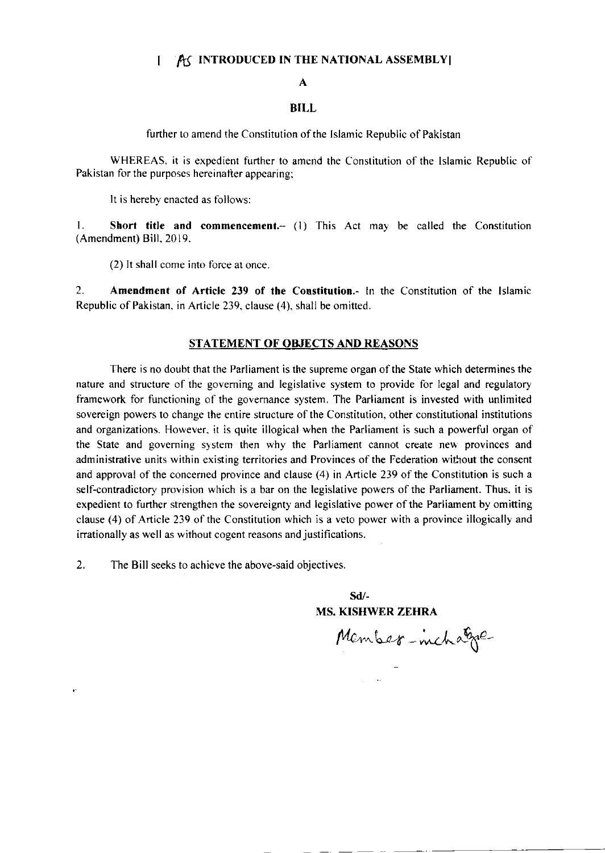## I AG INTRODUCED IN THE NATIONAL ASSEMBLY

## A

## BILL

further to amend the Constitution of the Islamic Republic of Pakistan

WHEREAS. it is expedienr further to amend the Constitution of the Islamic Republic of Pakistan for the purposes hereinafter appearing;

It is hereby enacted as follows:

1. Short title and commencement. (1) This Act may be called the Constitution (Amendment) Bill, 2019.

(2) It shall come into force at once

2. Amendment of Article 239 of the Constitution.- In the Constitution of the lslamic Republic of Pakistan. in Article 239. clause (4), shall be omitted.

## STATEMENT OF OBJECTS AND REASONS

There is no doubt that the Parliament is the supreme organ of the State which determines the nature and structure of the goveming and legislative system to provide for legal and regulatory framework for functioning of the governance system. The Parliament is invested with unlimited sovereign powers to change the entire structure of the Constitution, other constitutional institutions and organizations. However, it is quite illogical when the Parliament is such a powerful organ of the State and governing system then why the Parliament cannot create new provinces and administrative units within existing territories and Provinces of the Federation without the consent and approval of the concerned province and clause (4) in Article 239 of the Constitution is such a self-contradictory provision which is a bar on the legislative powers of the Parliament. Thus, it is expedient to further strengthen the sovereignty and legislative power of the Parliament by omitting clause (4) of Article 239 of the Constitution which is a veto power with a province illogically and irrationally as well as without cogent reasons and justifications.

2. The Bill seeks to achieve the above-said objectives.

 $\bullet$ 

sd/- MS. KISHWER ZEHRA

Member-inchage